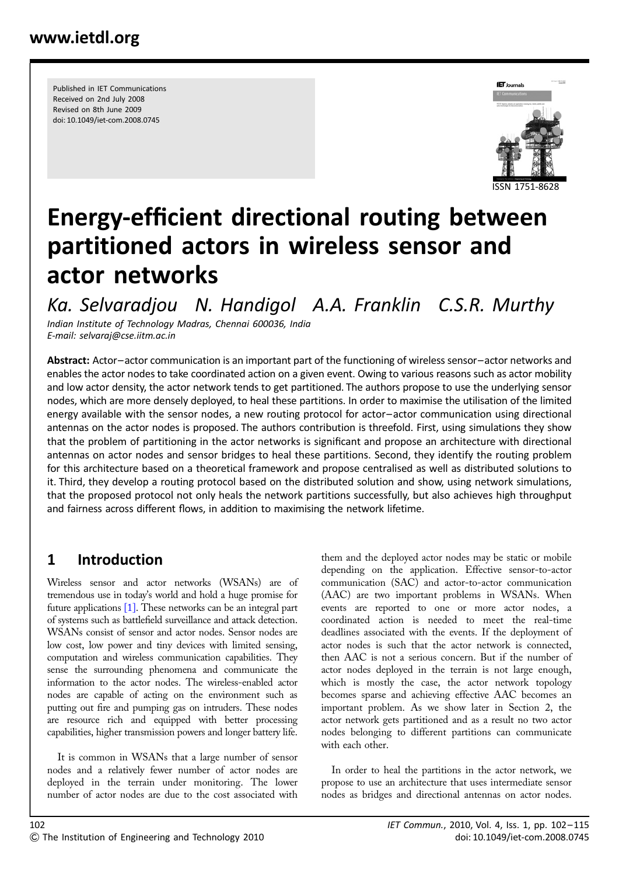Published in IET Communications Received on 2nd July 2008 Revised on 8th June 2009 doi: 10.1049/iet-com.2008.0745



# Energy-efficient directional routing between partitioned actors in wireless sensor and actor networks

Ka. Selvaradjou N. Handigol A.A. Franklin C.S.R. Murthy

Indian Institute of Technology Madras, Chennai 600036, India E-mail: selvaraj@cse.iitm.ac.in

Abstract: Actor–actor communication is an important part of the functioning of wireless sensor–actor networks and enables the actor nodes to take coordinated action on a given event. Owing to various reasons such as actor mobility and low actor density, the actor network tends to get partitioned. The authors propose to use the underlying sensor nodes, which are more densely deployed, to heal these partitions. In order to maximise the utilisation of the limited energy available with the sensor nodes, a new routing protocol for actor–actor communication using directional antennas on the actor nodes is proposed. The authors contribution is threefold. First, using simulations they show that the problem of partitioning in the actor networks is significant and propose an architecture with directional antennas on actor nodes and sensor bridges to heal these partitions. Second, they identify the routing problem for this architecture based on a theoretical framework and propose centralised as well as distributed solutions to it. Third, they develop a routing protocol based on the distributed solution and show, using network simulations, that the proposed protocol not only heals the network partitions successfully, but also achieves high throughput and fairness across different flows, in addition to maximising the network lifetime.

## 1 Introduction

Wireless sensor and actor networks (WSANs) are of tremendous use in today's world and hold a huge promise for future applications [1]. These networks can be an integral part of systems such as battlefield surveillance and attack detection. WSANs consist of sensor and actor nodes. Sensor nodes are low cost, low power and tiny devices with limited sensing, computation and wireless communication capabilities. They sense the surrounding phenomena and communicate the information to the actor nodes. The wireless-enabled actor nodes are capable of acting on the environment such as putting out fire and pumping gas on intruders. These nodes are resource rich and equipped with better processing capabilities, higher transmission powers and longer battery life.

It is common in WSANs that a large number of sensor nodes and a relatively fewer number of actor nodes are deployed in the terrain under monitoring. The lower number of actor nodes are due to the cost associated with

them and the deployed actor nodes may be static or mobile depending on the application. Effective sensor-to-actor communication (SAC) and actor-to-actor communication (AAC) are two important problems in WSANs. When events are reported to one or more actor nodes, a coordinated action is needed to meet the real-time deadlines associated with the events. If the deployment of actor nodes is such that the actor network is connected, then AAC is not a serious concern. But if the number of actor nodes deployed in the terrain is not large enough, which is mostly the case, the actor network topology becomes sparse and achieving effective AAC becomes an important problem. As we show later in Section 2, the actor network gets partitioned and as a result no two actor nodes belonging to different partitions can communicate with each other.

In order to heal the partitions in the actor network, we propose to use an architecture that uses intermediate sensor nodes as bridges and directional antennas on actor nodes.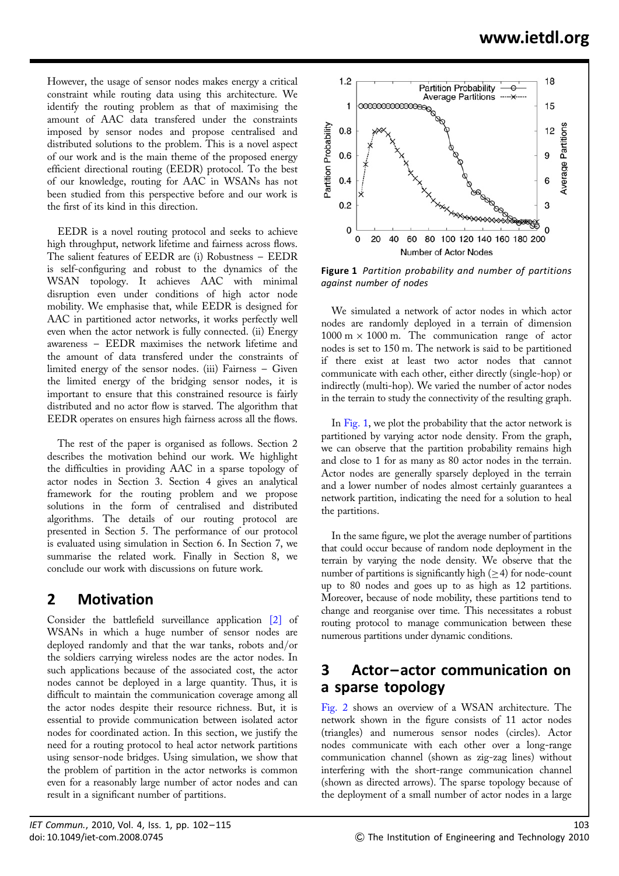However, the usage of sensor nodes makes energy a critical constraint while routing data using this architecture. We identify the routing problem as that of maximising the amount of AAC data transfered under the constraints imposed by sensor nodes and propose centralised and distributed solutions to the problem. This is a novel aspect of our work and is the main theme of the proposed energy efficient directional routing (EEDR) protocol. To the best of our knowledge, routing for AAC in WSANs has not been studied from this perspective before and our work is the first of its kind in this direction.

EEDR is a novel routing protocol and seeks to achieve high throughput, network lifetime and fairness across flows. The salient features of EEDR are (i) Robustness – EEDR is self-configuring and robust to the dynamics of the WSAN topology. It achieves AAC with minimal disruption even under conditions of high actor node mobility. We emphasise that, while EEDR is designed for AAC in partitioned actor networks, it works perfectly well even when the actor network is fully connected. (ii) Energy awareness – EEDR maximises the network lifetime and the amount of data transfered under the constraints of limited energy of the sensor nodes. (iii) Fairness – Given the limited energy of the bridging sensor nodes, it is important to ensure that this constrained resource is fairly distributed and no actor flow is starved. The algorithm that EEDR operates on ensures high fairness across all the flows.

The rest of the paper is organised as follows. Section 2 describes the motivation behind our work. We highlight the difficulties in providing AAC in a sparse topology of actor nodes in Section 3. Section 4 gives an analytical framework for the routing problem and we propose solutions in the form of centralised and distributed algorithms. The details of our routing protocol are presented in Section 5. The performance of our protocol is evaluated using simulation in Section 6. In Section 7, we summarise the related work. Finally in Section 8, we conclude our work with discussions on future work.

## 2 Motivation

Consider the battlefield surveillance application [2] of WSANs in which a huge number of sensor nodes are deployed randomly and that the war tanks, robots and/or the soldiers carrying wireless nodes are the actor nodes. In such applications because of the associated cost, the actor nodes cannot be deployed in a large quantity. Thus, it is difficult to maintain the communication coverage among all the actor nodes despite their resource richness. But, it is essential to provide communication between isolated actor nodes for coordinated action. In this section, we justify the need for a routing protocol to heal actor network partitions using sensor-node bridges. Using simulation, we show that the problem of partition in the actor networks is common even for a reasonably large number of actor nodes and can result in a significant number of partitions.



Figure 1 Partition probability and number of partitions against number of nodes

We simulated a network of actor nodes in which actor nodes are randomly deployed in a terrain of dimension 1000 m  $\times$  1000 m. The communication range of actor nodes is set to 150 m. The network is said to be partitioned if there exist at least two actor nodes that cannot communicate with each other, either directly (single-hop) or indirectly (multi-hop). We varied the number of actor nodes in the terrain to study the connectivity of the resulting graph.

In Fig. 1, we plot the probability that the actor network is partitioned by varying actor node density. From the graph, we can observe that the partition probability remains high and close to 1 for as many as 80 actor nodes in the terrain. Actor nodes are generally sparsely deployed in the terrain and a lower number of nodes almost certainly guarantees a network partition, indicating the need for a solution to heal the partitions.

In the same figure, we plot the average number of partitions that could occur because of random node deployment in the terrain by varying the node density. We observe that the number of partitions is significantly high  $(\geq 4)$  for node-count up to 80 nodes and goes up to as high as 12 partitions. Moreover, because of node mobility, these partitions tend to change and reorganise over time. This necessitates a robust routing protocol to manage communication between these numerous partitions under dynamic conditions.

## 3 Actor–actor communication on a sparse topology

Fig. 2 shows an overview of a WSAN architecture. The network shown in the figure consists of 11 actor nodes (triangles) and numerous sensor nodes (circles). Actor nodes communicate with each other over a long-range communication channel (shown as zig-zag lines) without interfering with the short-range communication channel (shown as directed arrows). The sparse topology because of the deployment of a small number of actor nodes in a large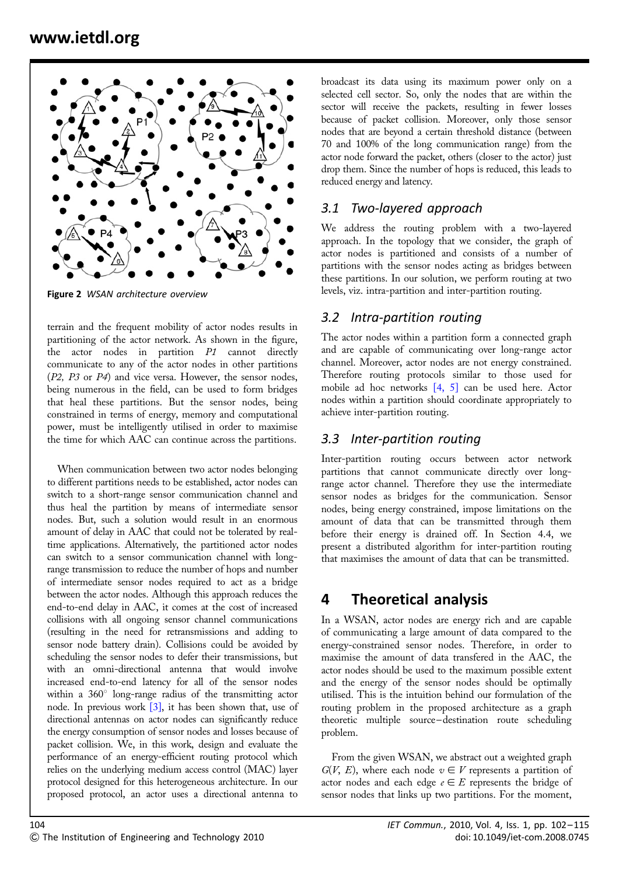

Figure 2 WSAN architecture overview

terrain and the frequent mobility of actor nodes results in partitioning of the actor network. As shown in the figure, the actor nodes in partition P1 cannot directly communicate to any of the actor nodes in other partitions (P2, P3 or P4) and vice versa. However, the sensor nodes, being numerous in the field, can be used to form bridges that heal these partitions. But the sensor nodes, being constrained in terms of energy, memory and computational power, must be intelligently utilised in order to maximise the time for which AAC can continue across the partitions.

When communication between two actor nodes belonging to different partitions needs to be established, actor nodes can switch to a short-range sensor communication channel and thus heal the partition by means of intermediate sensor nodes. But, such a solution would result in an enormous amount of delay in AAC that could not be tolerated by realtime applications. Alternatively, the partitioned actor nodes can switch to a sensor communication channel with longrange transmission to reduce the number of hops and number of intermediate sensor nodes required to act as a bridge between the actor nodes. Although this approach reduces the end-to-end delay in AAC, it comes at the cost of increased collisions with all ongoing sensor channel communications (resulting in the need for retransmissions and adding to sensor node battery drain). Collisions could be avoided by scheduling the sensor nodes to defer their transmissions, but with an omni-directional antenna that would involve increased end-to-end latency for all of the sensor nodes within a  $360^\circ$  long-range radius of the transmitting actor node. In previous work [3], it has been shown that, use of directional antennas on actor nodes can significantly reduce the energy consumption of sensor nodes and losses because of packet collision. We, in this work, design and evaluate the performance of an energy-efficient routing protocol which relies on the underlying medium access control (MAC) layer protocol designed for this heterogeneous architecture. In our proposed protocol, an actor uses a directional antenna to broadcast its data using its maximum power only on a selected cell sector. So, only the nodes that are within the sector will receive the packets, resulting in fewer losses because of packet collision. Moreover, only those sensor nodes that are beyond a certain threshold distance (between 70 and 100% of the long communication range) from the actor node forward the packet, others (closer to the actor) just drop them. Since the number of hops is reduced, this leads to reduced energy and latency.

#### 3.1 Two-layered approach

We address the routing problem with a two-layered approach. In the topology that we consider, the graph of actor nodes is partitioned and consists of a number of partitions with the sensor nodes acting as bridges between these partitions. In our solution, we perform routing at two levels, viz. intra-partition and inter-partition routing.

### 3.2 Intra-partition routing

The actor nodes within a partition form a connected graph and are capable of communicating over long-range actor channel. Moreover, actor nodes are not energy constrained. Therefore routing protocols similar to those used for mobile ad hoc networks [4, 5] can be used here. Actor nodes within a partition should coordinate appropriately to achieve inter-partition routing.

#### 3.3 Inter-partition routing

Inter-partition routing occurs between actor network partitions that cannot communicate directly over longrange actor channel. Therefore they use the intermediate sensor nodes as bridges for the communication. Sensor nodes, being energy constrained, impose limitations on the amount of data that can be transmitted through them before their energy is drained off. In Section 4.4, we present a distributed algorithm for inter-partition routing that maximises the amount of data that can be transmitted.

# 4 Theoretical analysis

In a WSAN, actor nodes are energy rich and are capable of communicating a large amount of data compared to the energy-constrained sensor nodes. Therefore, in order to maximise the amount of data transfered in the AAC, the actor nodes should be used to the maximum possible extent and the energy of the sensor nodes should be optimally utilised. This is the intuition behind our formulation of the routing problem in the proposed architecture as a graph theoretic multiple source –destination route scheduling problem.

From the given WSAN, we abstract out a weighted graph  $G(V, E)$ , where each node  $v \in V$  represents a partition of actor nodes and each edge  $e \in E$  represents the bridge of sensor nodes that links up two partitions. For the moment,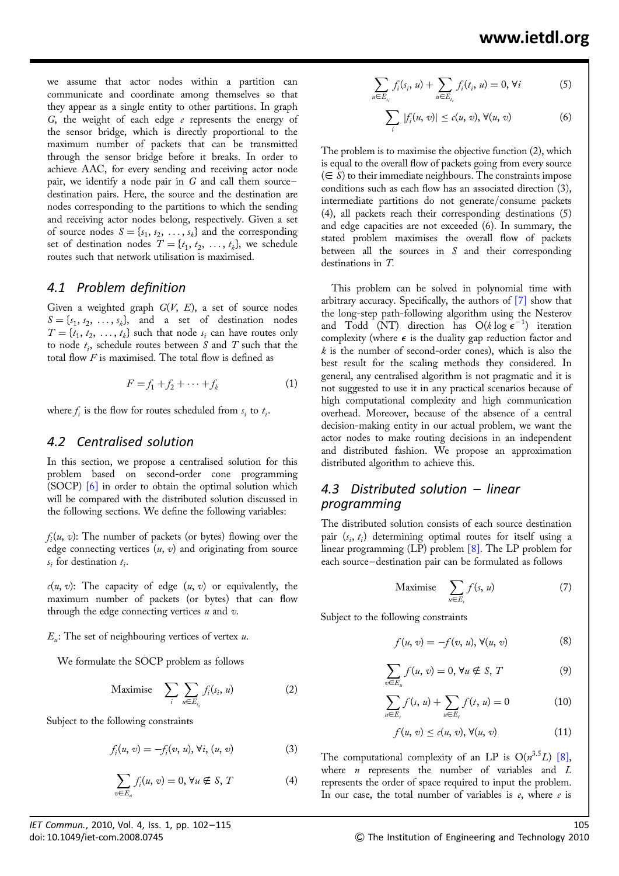we assume that actor nodes within a partition can communicate and coordinate among themselves so that they appear as a single entity to other partitions. In graph G, the weight of each edge  $e$  represents the energy of the sensor bridge, which is directly proportional to the maximum number of packets that can be transmitted through the sensor bridge before it breaks. In order to achieve AAC, for every sending and receiving actor node pair, we identify a node pair in G and call them source– destination pairs. Here, the source and the destination are nodes corresponding to the partitions to which the sending and receiving actor nodes belong, respectively. Given a set of source nodes  $S = \{s_1, s_2, \ldots, s_k\}$  and the corresponding set of destination nodes  $T = \{t_1, t_2, \ldots, t_k\}$ , we schedule routes such that network utilisation is maximised.

#### 4.1 Problem definition

Given a weighted graph  $G(V, E)$ , a set of source nodes  $S = \{s_1, s_2, \ldots, s_k\}$ , and a set of destination nodes  $T = \{t_1, t_2, \ldots, t_k\}$  such that node  $s_i$  can have routes only to node  $t_i$ , schedule routes between S and T such that the total flow  $F$  is maximised. The total flow is defined as

$$
F = f_1 + f_2 + \dots + f_k \tag{1}
$$

where  $f_i$  is the flow for routes scheduled from  $s_i$  to  $t_i$ .

#### 4.2 Centralised solution

In this section, we propose a centralised solution for this problem based on second-order cone programming (SOCP) [6] in order to obtain the optimal solution which will be compared with the distributed solution discussed in the following sections. We define the following variables:

 $f_i(u, v)$ : The number of packets (or bytes) flowing over the edge connecting vertices  $(u, v)$  and originating from source  $s_i$  for destination  $t_i$ .

 $c(u, v)$ : The capacity of edge  $(u, v)$  or equivalently, the maximum number of packets (or bytes) that can flow through the edge connecting vertices  $u$  and  $v$ .

 $E_u$ : The set of neighbouring vertices of vertex u.

We formulate the SOCP problem as follows

Maximise 
$$
\sum_{i} \sum_{u \in E_{s_i}} f_i(s_i, u)
$$
 (2)

Subject to the following constraints

$$
f_i(u, v) = -f_i(v, u), \forall i, (u, v)
$$
 (3)

$$
\sum_{v \in E_u} f_i(u, v) = 0, \forall u \notin S, T
$$
 (4)

$$
\sum_{u \in E_{s_i}} f_i(s_i, u) + \sum_{u \in E_{t_i}} f_i(t_i, u) = 0, \forall i
$$
 (5)

$$
\sum_{i} |f_i(u, v)| \le c(u, v), \forall (u, v)
$$
 (6)

The problem is to maximise the objective function (2), which is equal to the overall flow of packets going from every source  $(\in S)$  to their immediate neighbours. The constraints impose conditions such as each flow has an associated direction (3), intermediate partitions do not generate/consume packets (4), all packets reach their corresponding destinations (5) and edge capacities are not exceeded (6). In summary, the stated problem maximises the overall flow of packets between all the sources in S and their corresponding destinations in T.

This problem can be solved in polynomial time with arbitrary accuracy. Specifically, the authors of [7] show that the long-step path-following algorithm using the Nesterov and Todd (NT) direction has  $O(k \log \epsilon^{-1})$  iteration complexity (where  $\epsilon$  is the duality gap reduction factor and  $k$  is the number of second-order cones), which is also the best result for the scaling methods they considered. In general, any centralised algorithm is not pragmatic and it is not suggested to use it in any practical scenarios because of high computational complexity and high communication overhead. Moreover, because of the absence of a central decision-making entity in our actual problem, we want the actor nodes to make routing decisions in an independent and distributed fashion. We propose an approximation distributed algorithm to achieve this.

#### 4.3 Distributed solution – linear programming

The distributed solution consists of each source destination pair  $(s_i, t_i)$  determining optimal routes for itself using a linear programming (LP) problem [8]. The LP problem for each source–destination pair can be formulated as follows

$$
\text{Maximise} \quad \sum_{u \in E_s} f(s, u) \tag{7}
$$

Subject to the following constraints

$$
f(u, v) = -f(v, u), \forall (u, v)
$$
 (8)

$$
\sum_{v \in E_u} f(u, v) = 0, \forall u \notin S, T
$$
 (9)

$$
\sum_{u \in E_s} f(s, u) + \sum_{u \in E_t} f(t, u) = 0
$$
 (10)

$$
f(u, v) \le c(u, v), \forall (u, v)
$$
\n(11)

The computational complexity of an LP is  $O(n^{3.5}L)$  [8], where  $n$  represents the number of variables and  $L$ represents the order of space required to input the problem. In our case, the total number of variables is  $e$ , where  $e$  is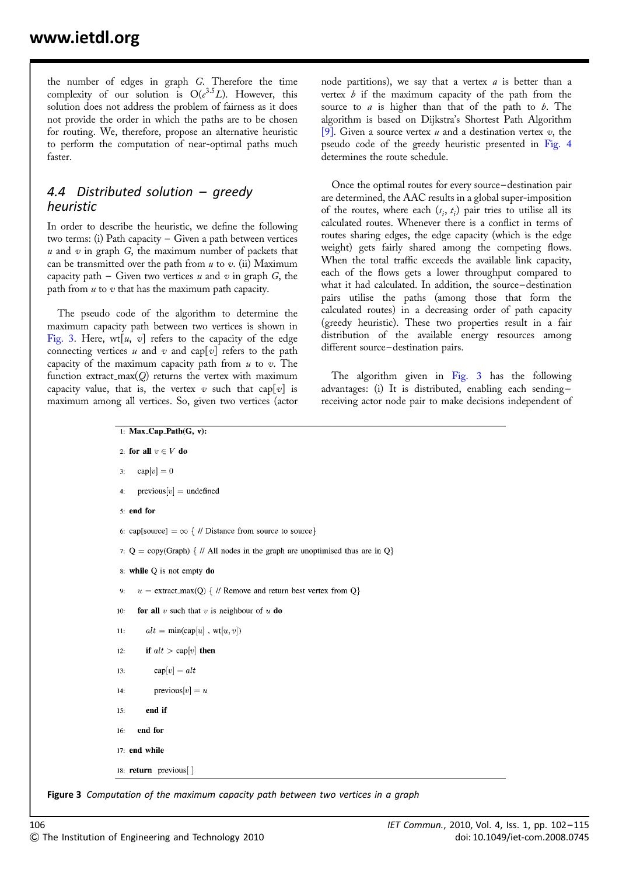# www.ietdl.org

the number of edges in graph G. Therefore the time complexity of our solution is  $O(e^{3.5}L)$ . However, this solution does not address the problem of fairness as it does not provide the order in which the paths are to be chosen for routing. We, therefore, propose an alternative heuristic to perform the computation of near-optimal paths much faster.

#### 4.4 Distributed solution – greedy heuristic

In order to describe the heuristic, we define the following two terms: (i) Path capacity – Given a path between vertices  $u$  and  $v$  in graph  $G$ , the maximum number of packets that can be transmitted over the path from  $u$  to  $v$ . (ii) Maximum capacity path – Given two vertices u and v in graph G, the path from  $u$  to  $v$  that has the maximum path capacity.

The pseudo code of the algorithm to determine the maximum capacity path between two vertices is shown in Fig. 3. Here, wt[u, v] refers to the capacity of the edge connecting vertices u and v and cap[v] refers to the path capacity of the maximum capacity path from  $u$  to  $v$ . The function extract\_max $(Q)$  returns the vertex with maximum capacity value, that is, the vertex v such that cap[v] is maximum among all vertices. So, given two vertices (actor

node partitions), we say that a vertex  $a$  is better than a vertex  $b$  if the maximum capacity of the path from the source to  $a$  is higher than that of the path to  $b$ . The algorithm is based on Dijkstra's Shortest Path Algorithm [9]. Given a source vertex u and a destination vertex v, the pseudo code of the greedy heuristic presented in Fig. 4 determines the route schedule.

Once the optimal routes for every source–destination pair are determined, the AAC results in a global super-imposition of the routes, where each  $(s_i, t_i)$  pair tries to utilise all its calculated routes. Whenever there is a conflict in terms of routes sharing edges, the edge capacity (which is the edge weight) gets fairly shared among the competing flows. When the total traffic exceeds the available link capacity, each of the flows gets a lower throughput compared to what it had calculated. In addition, the source–destination pairs utilise the paths (among those that form the calculated routes) in a decreasing order of path capacity (greedy heuristic). These two properties result in a fair distribution of the available energy resources among different source–destination pairs.

The algorithm given in Fig. 3 has the following advantages: (i) It is distributed, enabling each sending – receiving actor node pair to make decisions independent of

#### 1:  $Max\_Cap\_Path(G, v)$ :

```
2: for all v \in V do
```
- $cap[v] = 0$  $3:$
- $previously[v] = undefined$  $4·$
- 5: end for
- 6: cap[source] =  $\infty$  { // Distance from source to source}
- 7:  $Q = \text{copy}(Graph) \{ \text{ // All nodes in the graph are unoptimised thus are in Q} \}$
- 8: while Q is not empty do
- $u =$  extract\_max(Q) { // Remove and return best vertex from Q}  $Q$
- for all  $v$  such that  $v$  is neighbour of  $u$  do  $10<sub>i</sub>$
- $alt = min(cap[u], wt[u, v])$  $11:$
- if  $alt > cap[v]$  then  $12<sub>i</sub>$
- $cap[v] = alt$  $13<sub>2</sub>$
- previous $[v] = u$  $14<sup>1</sup>$
- end if  $15<sub>1</sub>$
- end for 16:
- 17: end while
- 18: return previous[]

Figure 3 Computation of the maximum capacity path between two vertices in a graph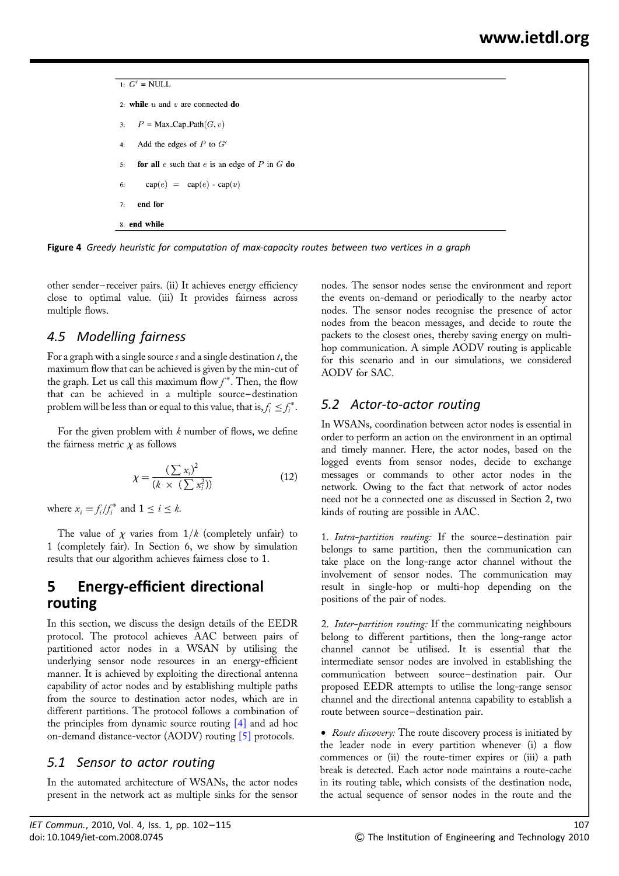1:  $G' = NULL$ 2: while  $u$  and  $v$  are connected do  $P = \text{Max\_Cap\_Path}(G, v)$ Add the edges of  $P$  to  $G'$  $\overline{4}$ for all  $e$  such that  $e$  is an edge of  $P$  in  $G$  do  $5:$  $cap(e) = cap(e) - cap(v)$ 61 end for  $7:$ 8: end while

Figure 4 Greedy heuristic for computation of max-capacity routes between two vertices in a graph

other sender– receiver pairs. (ii) It achieves energy efficiency close to optimal value. (iii) It provides fairness across multiple flows.

## 4.5 Modelling fairness

For a graph with a single source  $s$  and a single destination  $t$ , the maximum flow that can be achieved is given by the min-cut of the graph. Let us call this maximum flow  $f^*$ . Then, the flow that can be achieved in a multiple source–destination problem will be less than or equal to this value, that is,  $f_i \leq f_i^*$ .

For the given problem with  $k$  number of flows, we define the fairness metric  $\chi$  as follows

$$
\chi = \frac{\left(\sum x_i\right)^2}{\left(k \times \left(\sum x_i^2\right)\right)}
$$
(12)

where  $x_i = f_i / f_i^*$  and  $1 \le i \le k$ .

The value of  $\chi$  varies from  $1/k$  (completely unfair) to 1 (completely fair). In Section 6, we show by simulation results that our algorithm achieves fairness close to 1.

## 5 Energy-efficient directional routing

In this section, we discuss the design details of the EEDR protocol. The protocol achieves AAC between pairs of partitioned actor nodes in a WSAN by utilising the underlying sensor node resources in an energy-efficient manner. It is achieved by exploiting the directional antenna capability of actor nodes and by establishing multiple paths from the source to destination actor nodes, which are in different partitions. The protocol follows a combination of the principles from dynamic source routing [4] and ad hoc on-demand distance-vector (AODV) routing [5] protocols.

#### 5.1 Sensor to actor routing

In the automated architecture of WSANs, the actor nodes present in the network act as multiple sinks for the sensor nodes. The sensor nodes sense the environment and report the events on-demand or periodically to the nearby actor nodes. The sensor nodes recognise the presence of actor nodes from the beacon messages, and decide to route the packets to the closest ones, thereby saving energy on multihop communication. A simple AODV routing is applicable for this scenario and in our simulations, we considered AODV for SAC.

#### 5.2 Actor-to-actor routing

In WSANs, coordination between actor nodes is essential in order to perform an action on the environment in an optimal and timely manner. Here, the actor nodes, based on the logged events from sensor nodes, decide to exchange messages or commands to other actor nodes in the network. Owing to the fact that network of actor nodes need not be a connected one as discussed in Section 2, two kinds of routing are possible in AAC.

1. Intra-partition routing: If the source–destination pair belongs to same partition, then the communication can take place on the long-range actor channel without the involvement of sensor nodes. The communication may result in single-hop or multi-hop depending on the positions of the pair of nodes.

2. Inter-partition routing: If the communicating neighbours belong to different partitions, then the long-range actor channel cannot be utilised. It is essential that the intermediate sensor nodes are involved in establishing the communication between source–destination pair. Our proposed EEDR attempts to utilise the long-range sensor channel and the directional antenna capability to establish a route between source–destination pair.

• Route discovery: The route discovery process is initiated by the leader node in every partition whenever (i) a flow commences or (ii) the route-timer expires or (iii) a path break is detected. Each actor node maintains a route-cache in its routing table, which consists of the destination node, the actual sequence of sensor nodes in the route and the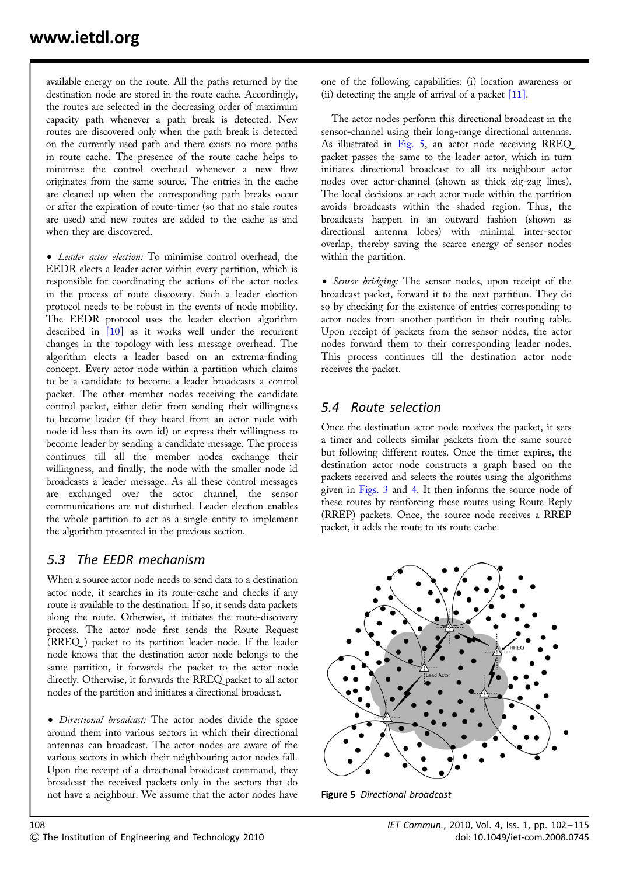available energy on the route. All the paths returned by the destination node are stored in the route cache. Accordingly, the routes are selected in the decreasing order of maximum capacity path whenever a path break is detected. New routes are discovered only when the path break is detected on the currently used path and there exists no more paths in route cache. The presence of the route cache helps to minimise the control overhead whenever a new flow originates from the same source. The entries in the cache are cleaned up when the corresponding path breaks occur or after the expiration of route-timer (so that no stale routes are used) and new routes are added to the cache as and when they are discovered.

• Leader actor election: To minimise control overhead, the EEDR elects a leader actor within every partition, which is responsible for coordinating the actions of the actor nodes in the process of route discovery. Such a leader election protocol needs to be robust in the events of node mobility. The EEDR protocol uses the leader election algorithm described in [10] as it works well under the recurrent changes in the topology with less message overhead. The algorithm elects a leader based on an extrema-finding concept. Every actor node within a partition which claims to be a candidate to become a leader broadcasts a control packet. The other member nodes receiving the candidate control packet, either defer from sending their willingness to become leader (if they heard from an actor node with node id less than its own id) or express their willingness to become leader by sending a candidate message. The process continues till all the member nodes exchange their willingness, and finally, the node with the smaller node id broadcasts a leader message. As all these control messages are exchanged over the actor channel, the sensor communications are not disturbed. Leader election enables the whole partition to act as a single entity to implement the algorithm presented in the previous section.

#### 5.3 The EEDR mechanism

When a source actor node needs to send data to a destination actor node, it searches in its route-cache and checks if any route is available to the destination. If so, it sends data packets along the route. Otherwise, it initiates the route-discovery process. The actor node first sends the Route Request (RREQ ) packet to its partition leader node. If the leader node knows that the destination actor node belongs to the same partition, it forwards the packet to the actor node directly. Otherwise, it forwards the RREQ packet to all actor nodes of the partition and initiates a directional broadcast.

• Directional broadcast: The actor nodes divide the space around them into various sectors in which their directional antennas can broadcast. The actor nodes are aware of the various sectors in which their neighbouring actor nodes fall. Upon the receipt of a directional broadcast command, they broadcast the received packets only in the sectors that do not have a neighbour. We assume that the actor nodes have one of the following capabilities: (i) location awareness or (ii) detecting the angle of arrival of a packet [11].

The actor nodes perform this directional broadcast in the sensor-channel using their long-range directional antennas. As illustrated in Fig. 5, an actor node receiving RREQ packet passes the same to the leader actor, which in turn initiates directional broadcast to all its neighbour actor nodes over actor-channel (shown as thick zig-zag lines). The local decisions at each actor node within the partition avoids broadcasts within the shaded region. Thus, the broadcasts happen in an outward fashion (shown as directional antenna lobes) with minimal inter-sector overlap, thereby saving the scarce energy of sensor nodes within the partition.

• Sensor bridging: The sensor nodes, upon receipt of the broadcast packet, forward it to the next partition. They do so by checking for the existence of entries corresponding to actor nodes from another partition in their routing table. Upon receipt of packets from the sensor nodes, the actor nodes forward them to their corresponding leader nodes. This process continues till the destination actor node receives the packet.

#### 5.4 Route selection

Once the destination actor node receives the packet, it sets a timer and collects similar packets from the same source but following different routes. Once the timer expires, the destination actor node constructs a graph based on the packets received and selects the routes using the algorithms given in Figs. 3 and 4. It then informs the source node of these routes by reinforcing these routes using Route Reply (RREP) packets. Once, the source node receives a RREP packet, it adds the route to its route cache.



Figure 5 Directional broadcast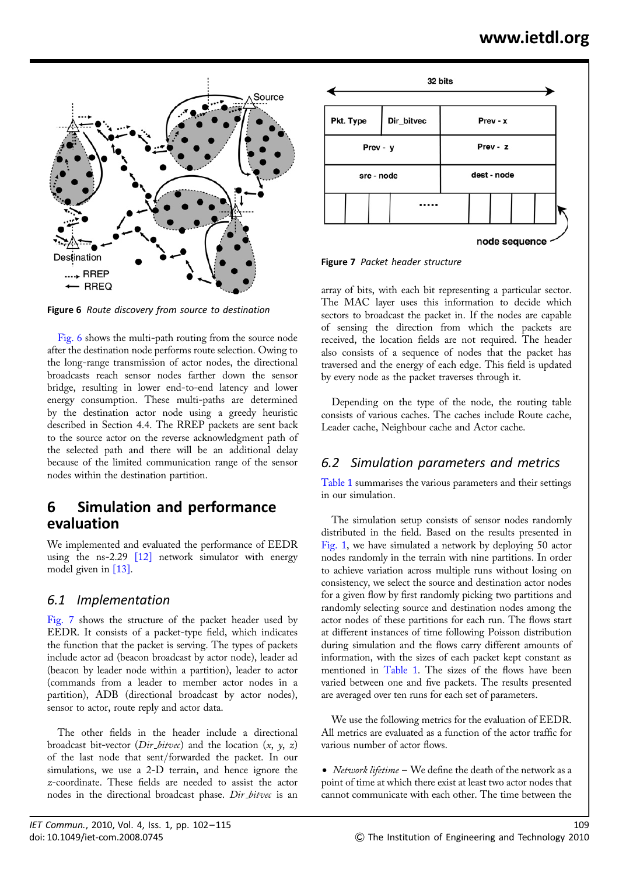

Figure 6 Route discovery from source to destination

Fig. 6 shows the multi-path routing from the source node after the destination node performs route selection. Owing to the long-range transmission of actor nodes, the directional broadcasts reach sensor nodes farther down the sensor bridge, resulting in lower end-to-end latency and lower energy consumption. These multi-paths are determined by the destination actor node using a greedy heuristic described in Section 4.4. The RREP packets are sent back to the source actor on the reverse acknowledgment path of the selected path and there will be an additional delay because of the limited communication range of the sensor nodes within the destination partition.

## 6 Simulation and performance evaluation

We implemented and evaluated the performance of EEDR using the ns-2.29  $\boxed{12}$  network simulator with energy model given in [13].

#### 6.1 Implementation

Fig. 7 shows the structure of the packet header used by EEDR. It consists of a packet-type field, which indicates the function that the packet is serving. The types of packets include actor ad (beacon broadcast by actor node), leader ad (beacon by leader node within a partition), leader to actor (commands from a leader to member actor nodes in a partition), ADB (directional broadcast by actor nodes), sensor to actor, route reply and actor data.

The other fields in the header include a directional broadcast bit-vector ( $Dir\_bitvec$ ) and the location  $(x, y, z)$ of the last node that sent/forwarded the packet. In our simulations, we use a 2-D terrain, and hence ignore the z-coordinate. These fields are needed to assist the actor nodes in the directional broadcast phase. Dir bitvec is an



Figure 7 Packet header structure

array of bits, with each bit representing a particular sector. The MAC layer uses this information to decide which sectors to broadcast the packet in. If the nodes are capable of sensing the direction from which the packets are received, the location fields are not required. The header also consists of a sequence of nodes that the packet has traversed and the energy of each edge. This field is updated by every node as the packet traverses through it.

Depending on the type of the node, the routing table consists of various caches. The caches include Route cache, Leader cache, Neighbour cache and Actor cache.

## 6.2 Simulation parameters and metrics

Table 1 summarises the various parameters and their settings in our simulation.

The simulation setup consists of sensor nodes randomly distributed in the field. Based on the results presented in Fig. 1, we have simulated a network by deploying 50 actor nodes randomly in the terrain with nine partitions. In order to achieve variation across multiple runs without losing on consistency, we select the source and destination actor nodes for a given flow by first randomly picking two partitions and randomly selecting source and destination nodes among the actor nodes of these partitions for each run. The flows start at different instances of time following Poisson distribution during simulation and the flows carry different amounts of information, with the sizes of each packet kept constant as mentioned in Table 1. The sizes of the flows have been varied between one and five packets. The results presented are averaged over ten runs for each set of parameters.

We use the following metrics for the evaluation of EEDR. All metrics are evaluated as a function of the actor traffic for various number of actor flows.

 $\bullet$  *Network lifetime* – We define the death of the network as a point of time at which there exist at least two actor nodes that cannot communicate with each other. The time between the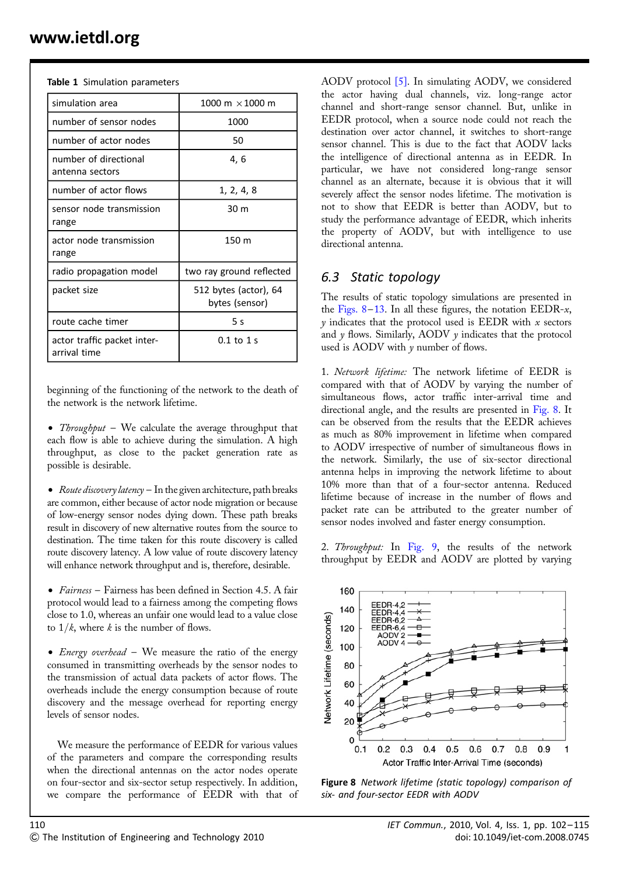| <b>Table 1</b> Sundiduon parameters         |                                         |  |  |
|---------------------------------------------|-----------------------------------------|--|--|
| simulation area                             | 1000 m $\times$ 1000 m                  |  |  |
| number of sensor nodes                      | 1000                                    |  |  |
| number of actor nodes                       | 50                                      |  |  |
| number of directional<br>antenna sectors    | 4, 6                                    |  |  |
| number of actor flows                       | 1, 2, 4, 8                              |  |  |
| sensor node transmission<br>range           | 30 m                                    |  |  |
| actor node transmission<br>range            | 150 m                                   |  |  |
| radio propagation model                     | two ray ground reflected                |  |  |
| packet size                                 | 512 bytes (actor), 64<br>bytes (sensor) |  |  |
| route cache timer                           | 5 s                                     |  |  |
| actor traffic packet inter-<br>arrival time | $0.1$ to $1s$                           |  |  |

Table 1 Simulation parameters

beginning of the functioning of the network to the death of the network is the network lifetime.

• Throughput – We calculate the average throughput that each flow is able to achieve during the simulation. A high throughput, as close to the packet generation rate as possible is desirable.

• Route discovery latency  $-$  In the given architecture, path breaks are common, either because of actor node migration or because of low-energy sensor nodes dying down. These path breaks result in discovery of new alternative routes from the source to destination. The time taken for this route discovery is called route discovery latency. A low value of route discovery latency will enhance network throughput and is, therefore, desirable.

• Fairness – Fairness has been defined in Section 4.5. A fair protocol would lead to a fairness among the competing flows close to 1.0, whereas an unfair one would lead to a value close to  $1/k$ , where k is the number of flows.

• Energy overhead - We measure the ratio of the energy consumed in transmitting overheads by the sensor nodes to the transmission of actual data packets of actor flows. The overheads include the energy consumption because of route discovery and the message overhead for reporting energy levels of sensor nodes.

We measure the performance of EEDR for various values of the parameters and compare the corresponding results when the directional antennas on the actor nodes operate on four-sector and six-sector setup respectively. In addition, we compare the performance of EEDR with that of AODV protocol [5]. In simulating AODV, we considered the actor having dual channels, viz. long-range actor channel and short-range sensor channel. But, unlike in EEDR protocol, when a source node could not reach the destination over actor channel, it switches to short-range sensor channel. This is due to the fact that AODV lacks the intelligence of directional antenna as in EEDR. In particular, we have not considered long-range sensor channel as an alternate, because it is obvious that it will severely affect the sensor nodes lifetime. The motivation is not to show that EEDR is better than AODV, but to study the performance advantage of EEDR, which inherits the property of AODV, but with intelligence to use directional antenna.

#### 6.3 Static topology

The results of static topology simulations are presented in the Figs.  $8-13$ . In all these figures, the notation EEDR-x,  $y$  indicates that the protocol used is EEDR with  $x$  sectors and  $y$  flows. Similarly, AODV  $y$  indicates that the protocol used is AODV with  $y$  number of flows.

1. Network lifetime: The network lifetime of EEDR is compared with that of AODV by varying the number of simultaneous flows, actor traffic inter-arrival time and directional angle, and the results are presented in Fig. 8. It can be observed from the results that the EEDR achieves as much as 80% improvement in lifetime when compared to AODV irrespective of number of simultaneous flows in the network. Similarly, the use of six-sector directional antenna helps in improving the network lifetime to about 10% more than that of a four-sector antenna. Reduced lifetime because of increase in the number of flows and packet rate can be attributed to the greater number of sensor nodes involved and faster energy consumption.

2. Throughput: In Fig. 9, the results of the network throughput by EEDR and AODV are plotted by varying



Figure 8 Network lifetime (static topology) comparison of six- and four-sector EEDR with AODV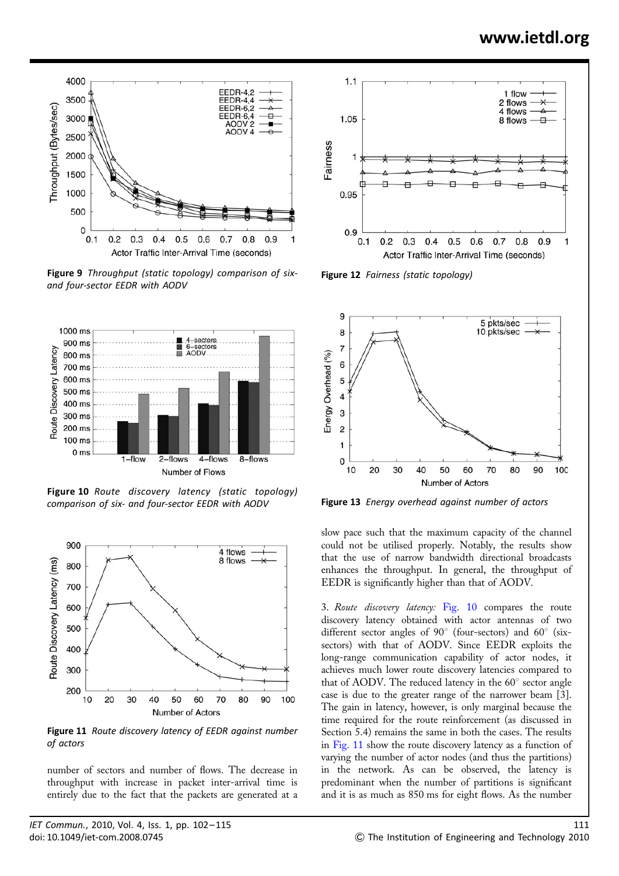# www.ietdl.org



Figure 9 Throughput (static topology) comparison of sixand four-sector EEDR with AODV



Figure 10 Route discovery latency (static topology) comparison of six- and four-sector EEDR with AODV



Figure 11 Route discovery latency of EEDR against number of actors

number of sectors and number of flows. The decrease in throughput with increase in packet inter-arrival time is entirely due to the fact that the packets are generated at a



Figure 12 Fairness (static topology)



Figure 13 Energy overhead against number of actors

slow pace such that the maximum capacity of the channel could not be utilised properly. Notably, the results show that the use of narrow bandwidth directional broadcasts enhances the throughput. In general, the throughput of EEDR is significantly higher than that of AODV.

3. Route discovery latency: Fig. 10 compares the route discovery latency obtained with actor antennas of two different sector angles of  $90^{\circ}$  (four-sectors) and  $60^{\circ}$  (sixsectors) with that of AODV. Since EEDR exploits the long-range communication capability of actor nodes, it achieves much lower route discovery latencies compared to that of AODV. The reduced latency in the  $60^\circ$  sector angle case is due to the greater range of the narrower beam [3]. The gain in latency, however, is only marginal because the time required for the route reinforcement (as discussed in Section 5.4) remains the same in both the cases. The results in Fig. 11 show the route discovery latency as a function of varying the number of actor nodes (and thus the partitions) in the network. As can be observed, the latency is predominant when the number of partitions is significant and it is as much as 850 ms for eight flows. As the number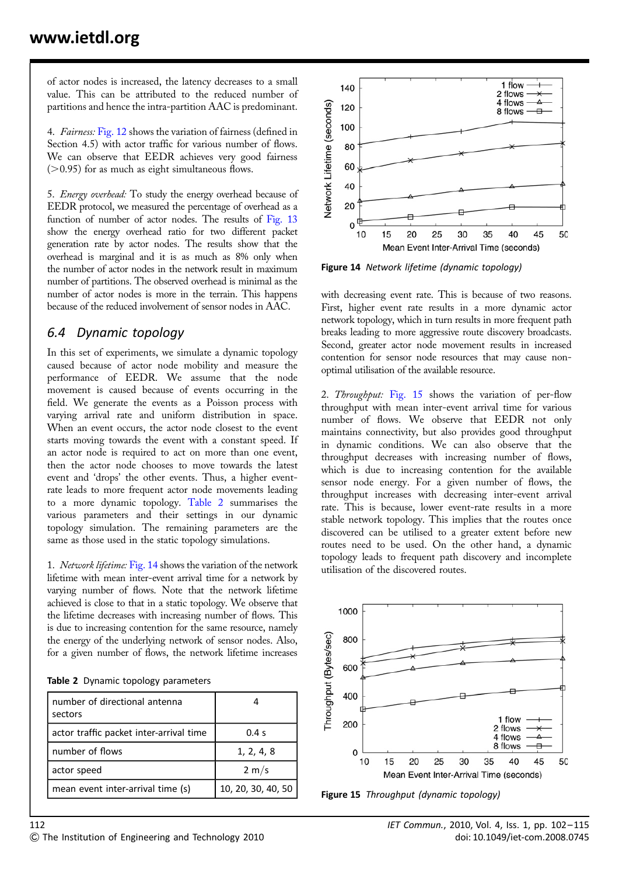# www.ietdl.org

of actor nodes is increased, the latency decreases to a small value. This can be attributed to the reduced number of partitions and hence the intra-partition AAC is predominant.

4. Fairness: Fig. 12 shows the variation of fairness (defined in Section 4.5) with actor traffic for various number of flows. We can observe that EEDR achieves very good fairness  $(>0.95)$  for as much as eight simultaneous flows.

5. Energy overhead: To study the energy overhead because of EEDR protocol, we measured the percentage of overhead as a function of number of actor nodes. The results of Fig. 13 show the energy overhead ratio for two different packet generation rate by actor nodes. The results show that the overhead is marginal and it is as much as 8% only when the number of actor nodes in the network result in maximum number of partitions. The observed overhead is minimal as the number of actor nodes is more in the terrain. This happens because of the reduced involvement of sensor nodes in AAC.

#### 6.4 Dynamic topology

In this set of experiments, we simulate a dynamic topology caused because of actor node mobility and measure the performance of EEDR. We assume that the node movement is caused because of events occurring in the field. We generate the events as a Poisson process with varying arrival rate and uniform distribution in space. When an event occurs, the actor node closest to the event starts moving towards the event with a constant speed. If an actor node is required to act on more than one event, then the actor node chooses to move towards the latest event and 'drops' the other events. Thus, a higher eventrate leads to more frequent actor node movements leading to a more dynamic topology. Table 2 summarises the various parameters and their settings in our dynamic topology simulation. The remaining parameters are the same as those used in the static topology simulations.

1. Network lifetime: Fig. 14 shows the variation of the network lifetime with mean inter-event arrival time for a network by varying number of flows. Note that the network lifetime achieved is close to that in a static topology. We observe that the lifetime decreases with increasing number of flows. This is due to increasing contention for the same resource, namely the energy of the underlying network of sensor nodes. Also, for a given number of flows, the network lifetime increases

|  |  |  | Table 2 Dynamic topology parameters |
|--|--|--|-------------------------------------|
|--|--|--|-------------------------------------|

| number of directional antenna<br>sectors |                    |
|------------------------------------------|--------------------|
| actor traffic packet inter-arrival time  | 0.4s               |
| number of flows                          | 1, 2, 4, 8         |
| actor speed                              | $2 \text{ m/s}$    |
| mean event inter-arrival time (s)        | 10, 20, 30, 40, 50 |



Figure 14 Network lifetime (dynamic topology)

with decreasing event rate. This is because of two reasons. First, higher event rate results in a more dynamic actor network topology, which in turn results in more frequent path breaks leading to more aggressive route discovery broadcasts. Second, greater actor node movement results in increased contention for sensor node resources that may cause nonoptimal utilisation of the available resource.

2. Throughput: Fig. 15 shows the variation of per-flow throughput with mean inter-event arrival time for various number of flows. We observe that EEDR not only maintains connectivity, but also provides good throughput in dynamic conditions. We can also observe that the throughput decreases with increasing number of flows, which is due to increasing contention for the available sensor node energy. For a given number of flows, the throughput increases with decreasing inter-event arrival rate. This is because, lower event-rate results in a more stable network topology. This implies that the routes once discovered can be utilised to a greater extent before new routes need to be used. On the other hand, a dynamic topology leads to frequent path discovery and incomplete utilisation of the discovered routes.



Figure 15 Throughput (dynamic topology)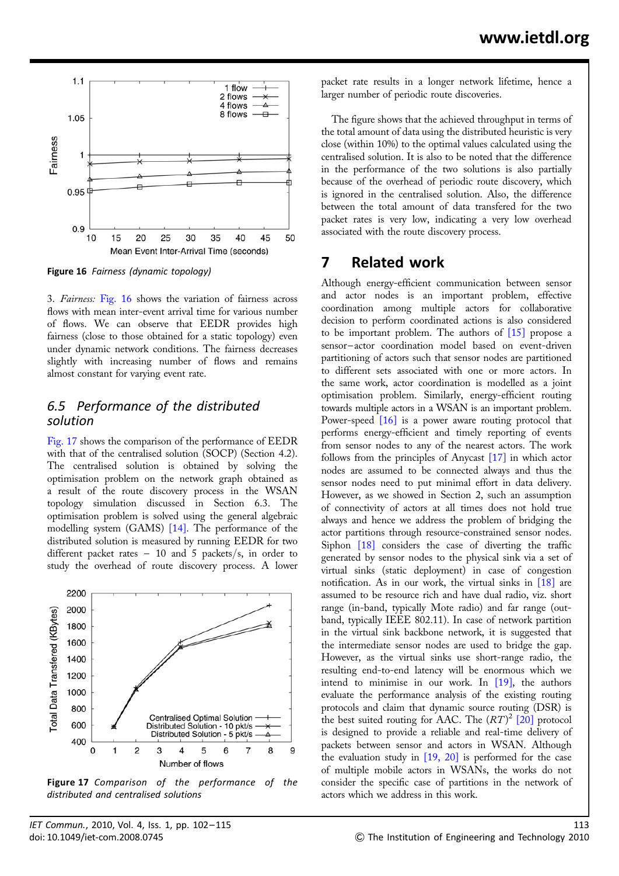

Figure 16 Fairness (dynamic topology)

3. Fairness: Fig. 16 shows the variation of fairness across flows with mean inter-event arrival time for various number of flows. We can observe that EEDR provides high fairness (close to those obtained for a static topology) even under dynamic network conditions. The fairness decreases slightly with increasing number of flows and remains almost constant for varying event rate.

#### 6.5 Performance of the distributed solution

Fig. 17 shows the comparison of the performance of EEDR with that of the centralised solution (SOCP) (Section 4.2). The centralised solution is obtained by solving the optimisation problem on the network graph obtained as a result of the route discovery process in the WSAN topology simulation discussed in Section 6.3. The optimisation problem is solved using the general algebraic modelling system (GAMS) [14]. The performance of the distributed solution is measured by running EEDR for two different packet rates  $-10$  and 5 packets/s, in order to study the overhead of route discovery process. A lower



Figure 17 Comparison of the performance of the distributed and centralised solutions

IET Commun., 2010, Vol. 4, Iss. 1, pp. 102-115 113

packet rate results in a longer network lifetime, hence a larger number of periodic route discoveries.

The figure shows that the achieved throughput in terms of the total amount of data using the distributed heuristic is very close (within 10%) to the optimal values calculated using the centralised solution. It is also to be noted that the difference in the performance of the two solutions is also partially because of the overhead of periodic route discovery, which is ignored in the centralised solution. Also, the difference between the total amount of data transfered for the two packet rates is very low, indicating a very low overhead associated with the route discovery process.

## 7 Related work

Although energy-efficient communication between sensor and actor nodes is an important problem, effective coordination among multiple actors for collaborative decision to perform coordinated actions is also considered to be important problem. The authors of [15] propose a sensor –actor coordination model based on event-driven partitioning of actors such that sensor nodes are partitioned to different sets associated with one or more actors. In the same work, actor coordination is modelled as a joint optimisation problem. Similarly, energy-efficient routing towards multiple actors in a WSAN is an important problem. Power-speed [16] is a power aware routing protocol that performs energy-efficient and timely reporting of events from sensor nodes to any of the nearest actors. The work follows from the principles of Anycast [17] in which actor nodes are assumed to be connected always and thus the sensor nodes need to put minimal effort in data delivery. However, as we showed in Section 2, such an assumption of connectivity of actors at all times does not hold true always and hence we address the problem of bridging the actor partitions through resource-constrained sensor nodes. Siphon [18] considers the case of diverting the traffic generated by sensor nodes to the physical sink via a set of virtual sinks (static deployment) in case of congestion notification. As in our work, the virtual sinks in [18] are assumed to be resource rich and have dual radio, viz. short range (in-band, typically Mote radio) and far range (outband, typically IEEE 802.11). In case of network partition in the virtual sink backbone network, it is suggested that the intermediate sensor nodes are used to bridge the gap. However, as the virtual sinks use short-range radio, the resulting end-to-end latency will be enormous which we intend to minimise in our work. In [19], the authors evaluate the performance analysis of the existing routing protocols and claim that dynamic source routing (DSR) is the best suited routing for AAC. The  $(RT)^2$  [20] protocol is designed to provide a reliable and real-time delivery of packets between sensor and actors in WSAN. Although the evaluation study in [19, 20] is performed for the case of multiple mobile actors in WSANs, the works do not consider the specific case of partitions in the network of actors which we address in this work.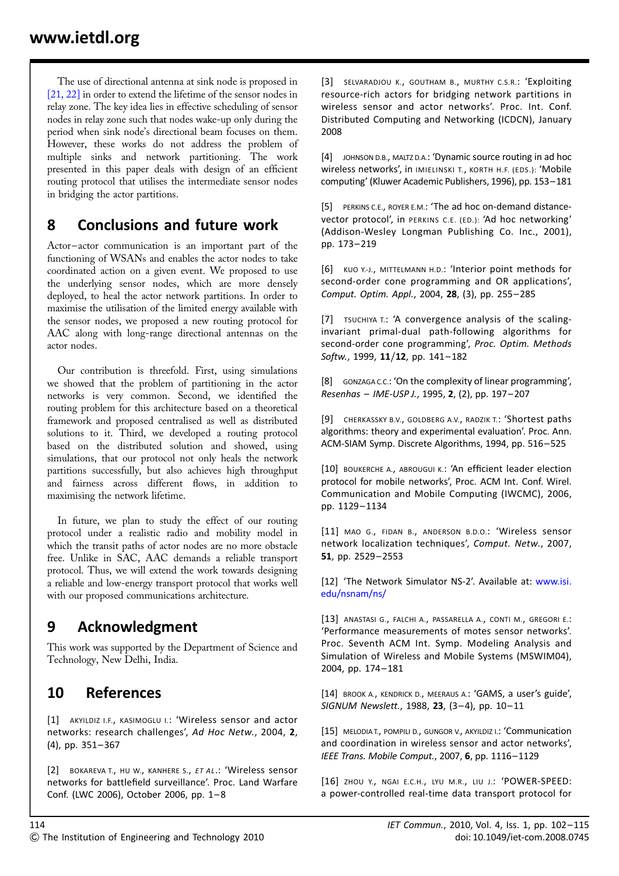The use of directional antenna at sink node is proposed in [21, 22] in order to extend the lifetime of the sensor nodes in relay zone. The key idea lies in effective scheduling of sensor nodes in relay zone such that nodes wake-up only during the period when sink node's directional beam focuses on them. However, these works do not address the problem of multiple sinks and network partitioning. The work presented in this paper deals with design of an efficient routing protocol that utilises the intermediate sensor nodes in bridging the actor partitions.

## 8 Conclusions and future work

Actor –actor communication is an important part of the functioning of WSANs and enables the actor nodes to take coordinated action on a given event. We proposed to use the underlying sensor nodes, which are more densely deployed, to heal the actor network partitions. In order to maximise the utilisation of the limited energy available with the sensor nodes, we proposed a new routing protocol for AAC along with long-range directional antennas on the actor nodes.

Our contribution is threefold. First, using simulations we showed that the problem of partitioning in the actor networks is very common. Second, we identified the routing problem for this architecture based on a theoretical framework and proposed centralised as well as distributed solutions to it. Third, we developed a routing protocol based on the distributed solution and showed, using simulations, that our protocol not only heals the network partitions successfully, but also achieves high throughput and fairness across different flows, in addition to maximising the network lifetime.

In future, we plan to study the effect of our routing protocol under a realistic radio and mobility model in which the transit paths of actor nodes are no more obstacle free. Unlike in SAC, AAC demands a reliable transport protocol. Thus, we will extend the work towards designing a reliable and low-energy transport protocol that works well with our proposed communications architecture.

# 9 Acknowledgment

This work was supported by the Department of Science and Technology, New Delhi, India.

# 10 References

[1] AKYILDIZ I.F., KASIMOGLU I.: 'Wireless sensor and actor networks: research challenges', Ad Hoc Netw., 2004, 2, (4), pp. 351– 367

[2] BOKAREVA T., HU W., KANHERE S., ET AL.: 'Wireless sensor networks for battlefield surveillance'. Proc. Land Warfare Conf. (LWC 2006), October 2006, pp. 1– 8

[3] SELVARADJOU K., GOUTHAM B., MURTHY C.S.R.: 'Exploiting resource-rich actors for bridging network partitions in wireless sensor and actor networks'. Proc. Int. Conf. Distributed Computing and Networking (ICDCN), January 2008

[4] JOHNSON D.B., MALTZ D.A.: 'Dynamic source routing in ad hoc wireless networks', in IMIELINSKI T., KORTH H.F. (EDS.): 'Mobile computing' (Kluwer Academic Publishers, 1996), pp. 153–181

[5] PERKINS C.E., ROYER E.M.: 'The ad hoc on-demand distancevector protocol', in PERKINS C.E. (ED.): 'Ad hoc networking' (Addison-Wesley Longman Publishing Co. Inc., 2001), pp. 173– 219

[6] KUO Y.-J., MITTELMANN H.D.: 'Interior point methods for second-order cone programming and OR applications', Comput. Optim. Appl., 2004, 28, (3), pp. 255– 285

[7] TSUCHIYA T.: 'A convergence analysis of the scalinginvariant primal-dual path-following algorithms for second-order cone programming', Proc. Optim. Methods Softw., 1999, 11/12, pp. 141-182

[8] GONZAGA C.C.: 'On the complexity of linear programming', Resenhas – IME-USP J., 1995, 2, (2), pp. 197– 207

[9] CHERKASSKY B.V., GOLDBERG A.V., RADZIK T.: 'Shortest paths algorithms: theory and experimental evaluation'. Proc. Ann. ACM-SIAM Symp. Discrete Algorithms, 1994, pp. 516– 525

[10] BOUKERCHE A., ABROUGUI K.: 'An efficient leader election protocol for mobile networks', Proc. ACM Int. Conf. Wirel. Communication and Mobile Computing (IWCMC), 2006, pp. 1129– 1134

[11] MAO G., FIDAN B., ANDERSON B.D.O.: 'Wireless sensor network localization techniques', Comput. Netw., 2007, 51, pp. 2529– 2553

[12] 'The Network Simulator NS-2'. Available at: www.isi. edu/nsnam/ns/

[13] ANASTASI G., FALCHI A., PASSARELLA A., CONTI M., GREGORI E.: 'Performance measurements of motes sensor networks'. Proc. Seventh ACM Int. Symp. Modeling Analysis and Simulation of Wireless and Mobile Systems (MSWIM04), 2004, pp. 174– 181

[14] BROOK A., KENDRICK D., MEERAUS A.: 'GAMS, a user's guide', SIGNUM Newslett., 1988, 23, (3-4), pp. 10-11

[15] MELODIA T., POMPILI D., GUNGOR V., AKYILDIZ I.: 'Communication and coordination in wireless sensor and actor networks', IEEE Trans. Mobile Comput., 2007, 6, pp. 1116–1129

[16] ZHOU Y., NGAI E.C.H., LYU M.R., LIU J.: 'POWER-SPEED: a power-controlled real-time data transport protocol for